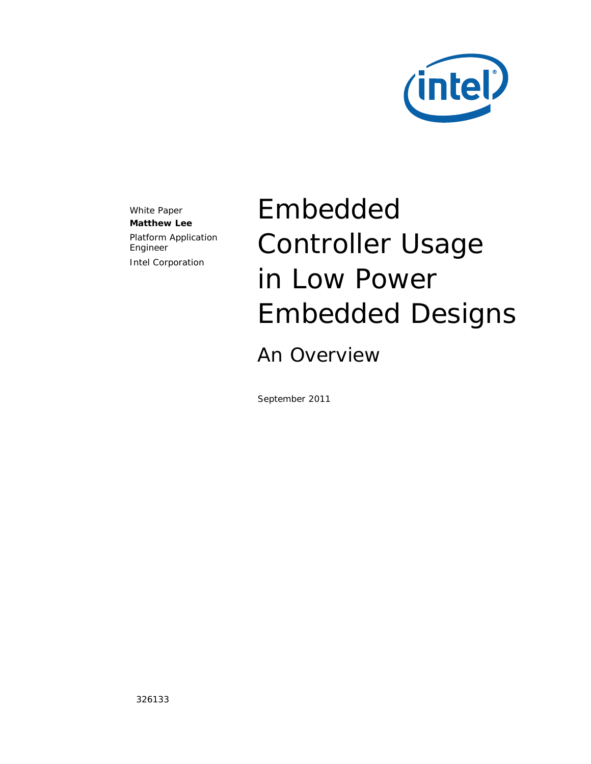

White Paper **Matthew Lee** Platform Application Engineer Intel Corporation

# Embedded Controller Usage in Low Power Embedded Designs

An Overview

September 2011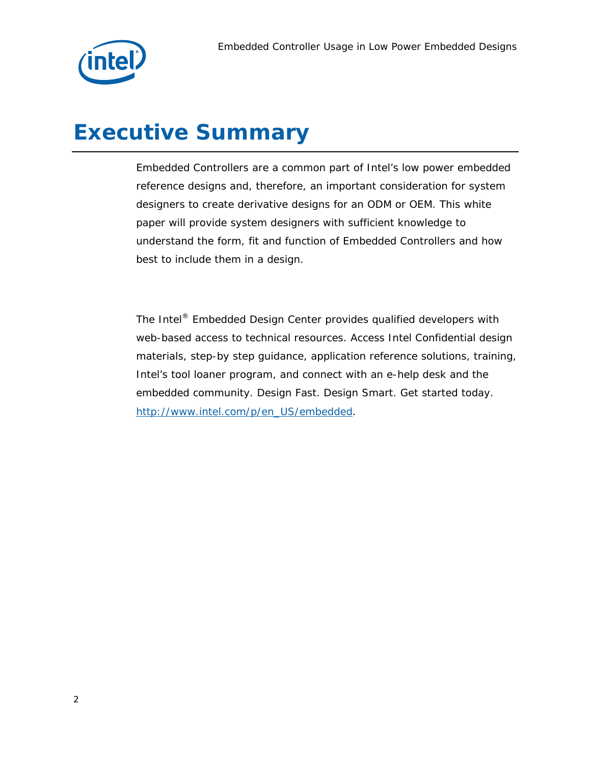

# *Executive Summary*

Embedded Controllers are a common part of Intel's low power embedded reference designs and, therefore, an important consideration for system designers to create derivative designs for an ODM or OEM. This white paper will provide system designers with sufficient knowledge to understand the form, fit and function of Embedded Controllers and how best to include them in a design.

The Intel® Embedded Design Center provides qualified developers with web-based access to technical resources. Access Intel Confidential design materials, step-by step guidance, application reference solutions, training, Intel's tool loaner program, and connect with an e-help desk and the embedded community. Design Fast. Design Smart. Get started today. http://www.intel.com/p/en\_US/embedded.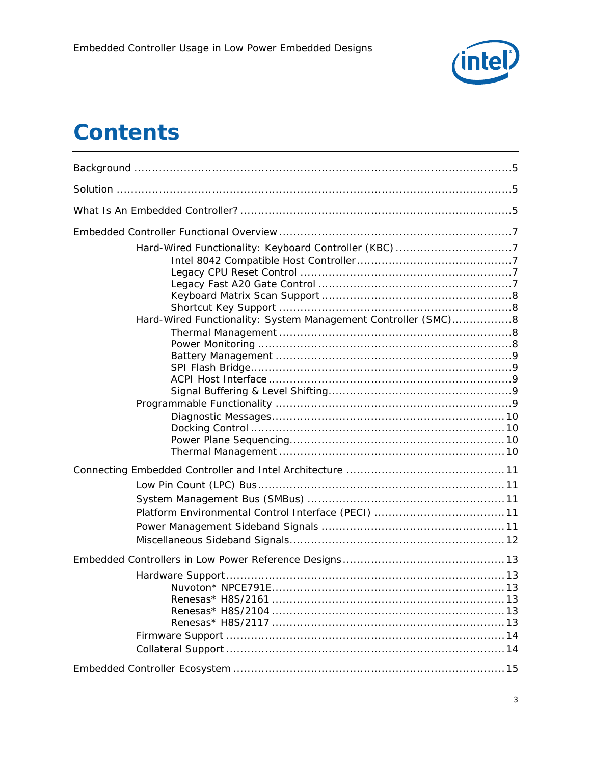

# **Contents**

| Hard-Wired Functionality: System Management Controller (SMC)8 |  |
|---------------------------------------------------------------|--|
|                                                               |  |
|                                                               |  |
|                                                               |  |
| Nuvoton* NPCF791F                                             |  |
|                                                               |  |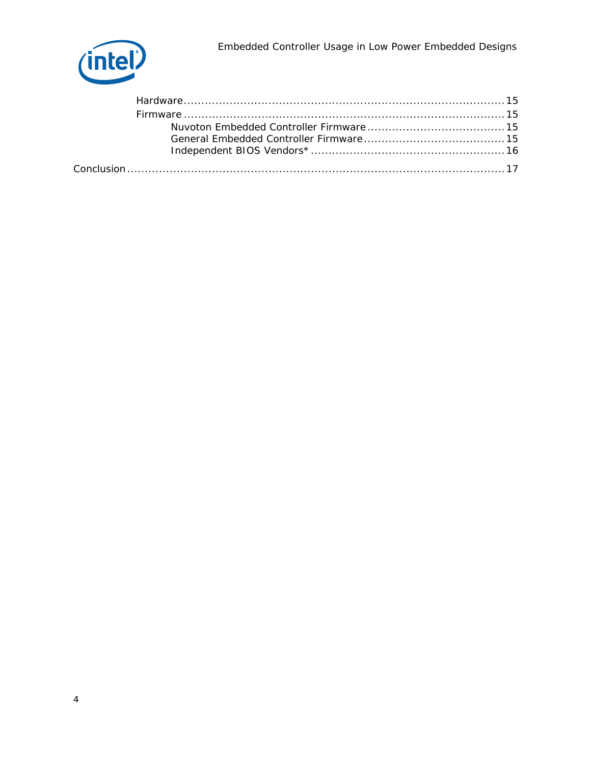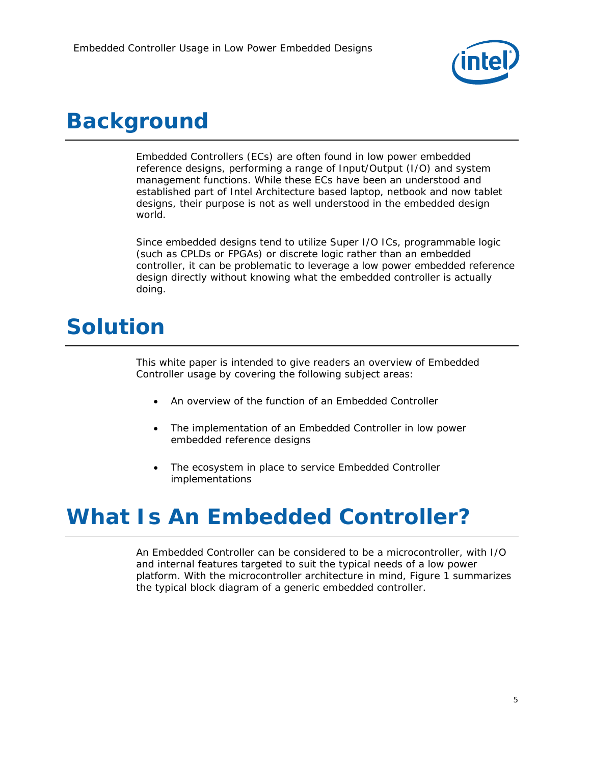

# *Background*

Embedded Controllers (ECs) are often found in low power embedded reference designs, performing a range of Input/Output (I/O) and system management functions. While these ECs have been an understood and established part of Intel Architecture based laptop, netbook and now tablet designs, their purpose is not as well understood in the embedded design world.

Since embedded designs tend to utilize Super I/O ICs, programmable logic (such as CPLDs or FPGAs) or discrete logic rather than an embedded controller, it can be problematic to leverage a low power embedded reference design directly without knowing what the embedded controller is actually doing.

# *Solution*

This white paper is intended to give readers an overview of Embedded Controller usage by covering the following subject areas:

- An overview of the function of an Embedded Controller
- The implementation of an Embedded Controller in low power embedded reference designs
- The ecosystem in place to service Embedded Controller implementations

# *What Is An Embedded Controller?*

An Embedded Controller can be considered to be a microcontroller, with I/O and internal features targeted to suit the typical needs of a low power platform. With the microcontroller architecture in mind, Figure 1 summarizes the typical block diagram of a generic embedded controller.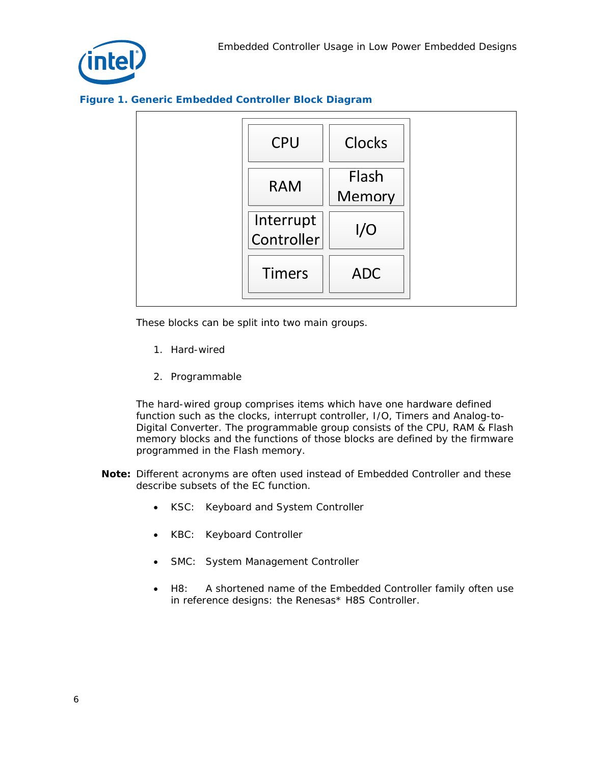

#### **Figure 1. Generic Embedded Controller Block Diagram**



These blocks can be split into two main groups.

- 1. Hard-wired
- 2. Programmable

The hard-wired group comprises items which have one hardware defined function such as the clocks, interrupt controller, I/O, Timers and Analog-to-Digital Converter. The programmable group consists of the CPU, RAM & Flash memory blocks and the functions of those blocks are defined by the firmware programmed in the Flash memory.

- *Note:* Different acronyms are often used instead of Embedded Controller and these describe subsets of the EC function.
	- KSC: Keyboard and System Controller
	- KBC: Keyboard Controller
	- SMC: System Management Controller
	- H8: A shortened name of the Embedded Controller family often use in reference designs: the Renesas\* H8S Controller.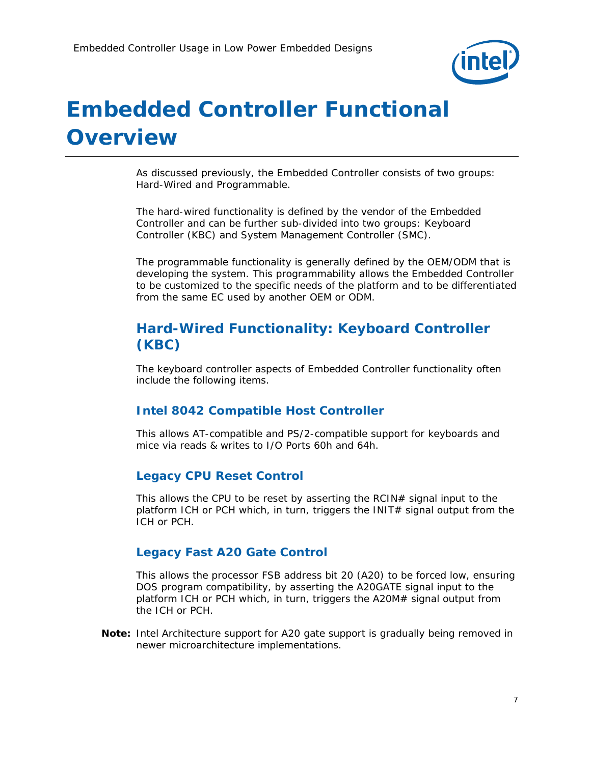

# *Embedded Controller Functional Overview*

As discussed previously, the Embedded Controller consists of two groups: Hard-Wired and Programmable.

The hard-wired functionality is defined by the vendor of the Embedded Controller and can be further sub-divided into two groups: Keyboard Controller (KBC) and System Management Controller (SMC).

The programmable functionality is generally defined by the OEM/ODM that is developing the system. This programmability allows the Embedded Controller to be customized to the specific needs of the platform and to be differentiated from the same EC used by another OEM or ODM.

### **Hard-Wired Functionality: Keyboard Controller (KBC)**

The keyboard controller aspects of Embedded Controller functionality often include the following items.

### **Intel 8042 Compatible Host Controller**

This allows AT-compatible and PS/2-compatible support for keyboards and mice via reads & writes to I/O Ports 60h and 64h.

### **Legacy CPU Reset Control**

This allows the CPU to be reset by asserting the  $RCIN#$  signal input to the platform ICH or PCH which, in turn, triggers the INIT# signal output from the ICH or PCH.

### **Legacy Fast A20 Gate Control**

This allows the processor FSB address bit 20 (A20) to be forced low, ensuring DOS program compatibility, by asserting the A20GATE signal input to the platform ICH or PCH which, in turn, triggers the A20M# signal output from the ICH or PCH.

*Note:* Intel Architecture support for A20 gate support is gradually being removed in newer microarchitecture implementations.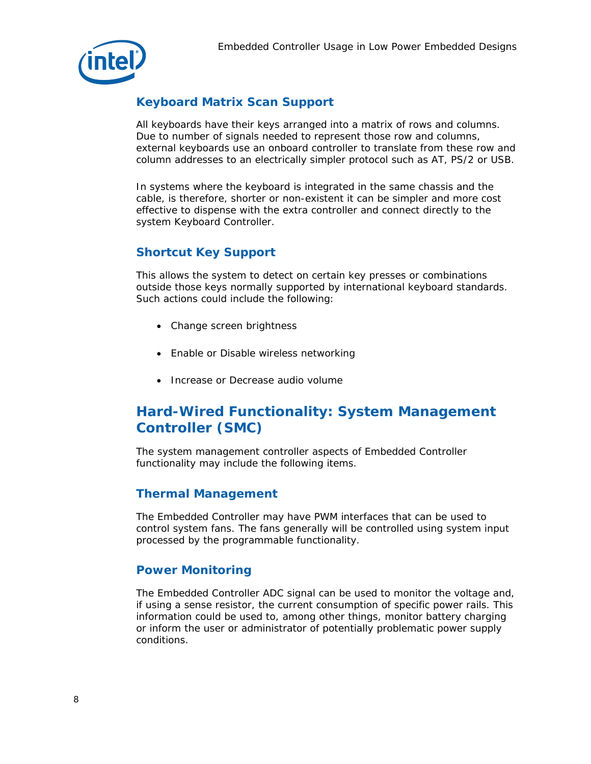

### **Keyboard Matrix Scan Support**

All keyboards have their keys arranged into a matrix of rows and columns. Due to number of signals needed to represent those row and columns, external keyboards use an onboard controller to translate from these row and column addresses to an electrically simpler protocol such as AT, PS/2 or USB.

In systems where the keyboard is integrated in the same chassis and the cable, is therefore, shorter or non-existent it can be simpler and more cost effective to dispense with the extra controller and connect directly to the system Keyboard Controller.

### **Shortcut Key Support**

This allows the system to detect on certain key presses or combinations outside those keys normally supported by international keyboard standards. Such actions could include the following:

- Change screen brightness
- Enable or Disable wireless networking
- Increase or Decrease audio volume

### **Hard-Wired Functionality: System Management Controller (SMC)**

The system management controller aspects of Embedded Controller functionality may include the following items.

#### **Thermal Management**

The Embedded Controller may have PWM interfaces that can be used to control system fans. The fans generally will be controlled using system input processed by the programmable functionality.

### **Power Monitoring**

The Embedded Controller ADC signal can be used to monitor the voltage and, if using a sense resistor, the current consumption of specific power rails. This information could be used to, among other things, monitor battery charging or inform the user or administrator of potentially problematic power supply conditions.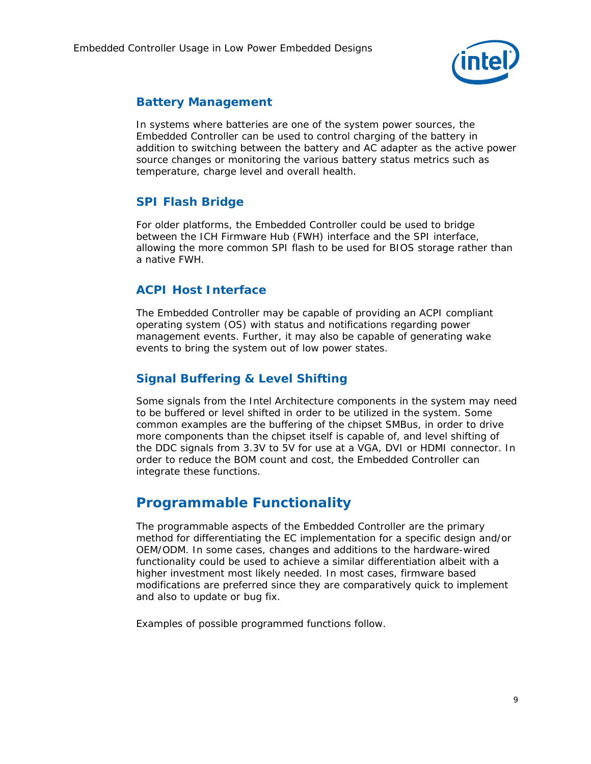

### **Battery Management**

In systems where batteries are one of the system power sources, the Embedded Controller can be used to control charging of the battery in addition to switching between the battery and AC adapter as the active power source changes or monitoring the various battery status metrics such as temperature, charge level and overall health.

### **SPI Flash Bridge**

For older platforms, the Embedded Controller could be used to bridge between the ICH Firmware Hub (FWH) interface and the SPI interface, allowing the more common SPI flash to be used for BIOS storage rather than a native FWH.

### **ACPI Host Interface**

The Embedded Controller may be capable of providing an ACPI compliant operating system (OS) with status and notifications regarding power management events. Further, it may also be capable of generating wake events to bring the system out of low power states.

### **Signal Buffering & Level Shifting**

Some signals from the Intel Architecture components in the system may need to be buffered or level shifted in order to be utilized in the system. Some common examples are the buffering of the chipset SMBus, in order to drive more components than the chipset itself is capable of, and level shifting of the DDC signals from 3.3V to 5V for use at a VGA, DVI or HDMI connector. In order to reduce the BOM count and cost, the Embedded Controller can integrate these functions.

### **Programmable Functionality**

The programmable aspects of the Embedded Controller are the primary method for differentiating the EC implementation for a specific design and/or OEM/ODM. In some cases, changes and additions to the hardware-wired functionality could be used to achieve a similar differentiation albeit with a higher investment most likely needed. In most cases, firmware based modifications are preferred since they are comparatively quick to implement and also to update or bug fix.

Examples of possible programmed functions follow.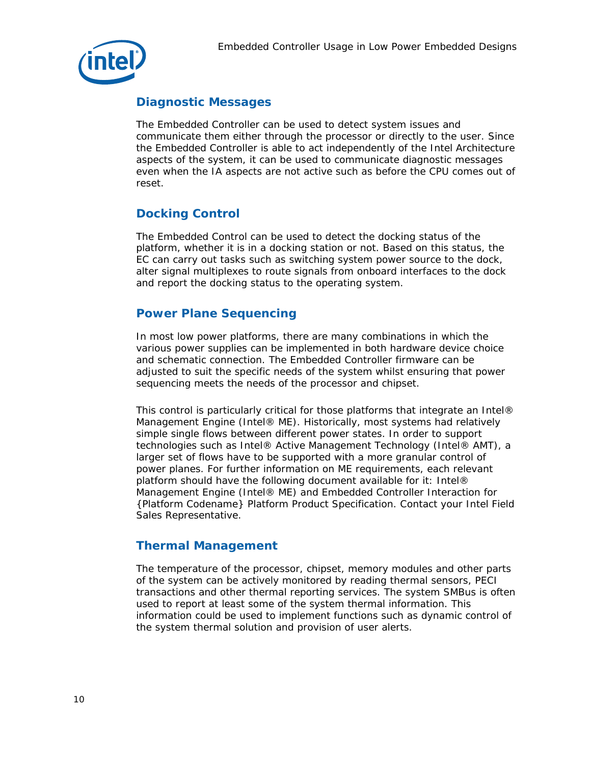

### **Diagnostic Messages**

The Embedded Controller can be used to detect system issues and communicate them either through the processor or directly to the user. Since the Embedded Controller is able to act independently of the Intel Architecture aspects of the system, it can be used to communicate diagnostic messages even when the IA aspects are not active such as before the CPU comes out of reset.

### **Docking Control**

The Embedded Control can be used to detect the docking status of the platform, whether it is in a docking station or not. Based on this status, the EC can carry out tasks such as switching system power source to the dock, alter signal multiplexes to route signals from onboard interfaces to the dock and report the docking status to the operating system.

### **Power Plane Sequencing**

In most low power platforms, there are many combinations in which the various power supplies can be implemented in both hardware device choice and schematic connection. The Embedded Controller firmware can be adjusted to suit the specific needs of the system whilst ensuring that power sequencing meets the needs of the processor and chipset.

This control is particularly critical for those platforms that integrate an Intel® Management Engine (Intel® ME). Historically, most systems had relatively simple single flows between different power states. In order to support technologies such as Intel® Active Management Technology (Intel® AMT), a larger set of flows have to be supported with a more granular control of power planes. For further information on ME requirements, each relevant platform should have the following document available for it: Intel® Management Engine (Intel® ME) and Embedded Controller Interaction for {Platform Codename} Platform Product Specification. Contact your Intel Field Sales Representative.

### **Thermal Management**

The temperature of the processor, chipset, memory modules and other parts of the system can be actively monitored by reading thermal sensors, PECI transactions and other thermal reporting services. The system SMBus is often used to report at least some of the system thermal information. This information could be used to implement functions such as dynamic control of the system thermal solution and provision of user alerts.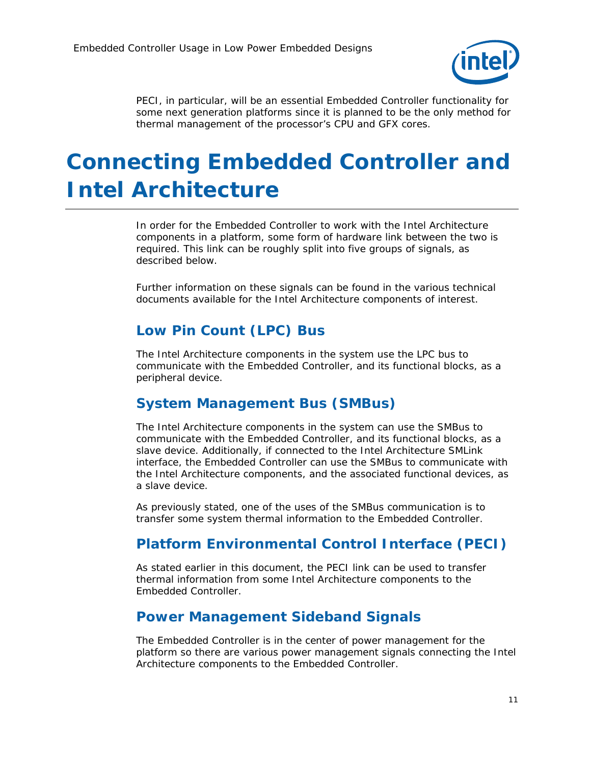

PECI, in particular, will be an essential Embedded Controller functionality for some next generation platforms since it is planned to be the only method for thermal management of the processor's CPU and GFX cores.

# *Connecting Embedded Controller and Intel Architecture*

In order for the Embedded Controller to work with the Intel Architecture components in a platform, some form of hardware link between the two is required. This link can be roughly split into five groups of signals, as described below.

Further information on these signals can be found in the various technical documents available for the Intel Architecture components of interest.

# **Low Pin Count (LPC) Bus**

The Intel Architecture components in the system use the LPC bus to communicate with the Embedded Controller, and its functional blocks, as a peripheral device.

### **System Management Bus (SMBus)**

The Intel Architecture components in the system can use the SMBus to communicate with the Embedded Controller, and its functional blocks, as a slave device. Additionally, if connected to the Intel Architecture SMLink interface, the Embedded Controller can use the SMBus to communicate with the Intel Architecture components, and the associated functional devices, as a slave device.

As previously stated, one of the uses of the SMBus communication is to transfer some system thermal information to the Embedded Controller.

### **Platform Environmental Control Interface (PECI)**

As stated earlier in this document, the PECI link can be used to transfer thermal information from some Intel Architecture components to the Embedded Controller.

### **Power Management Sideband Signals**

The Embedded Controller is in the center of power management for the platform so there are various power management signals connecting the Intel Architecture components to the Embedded Controller.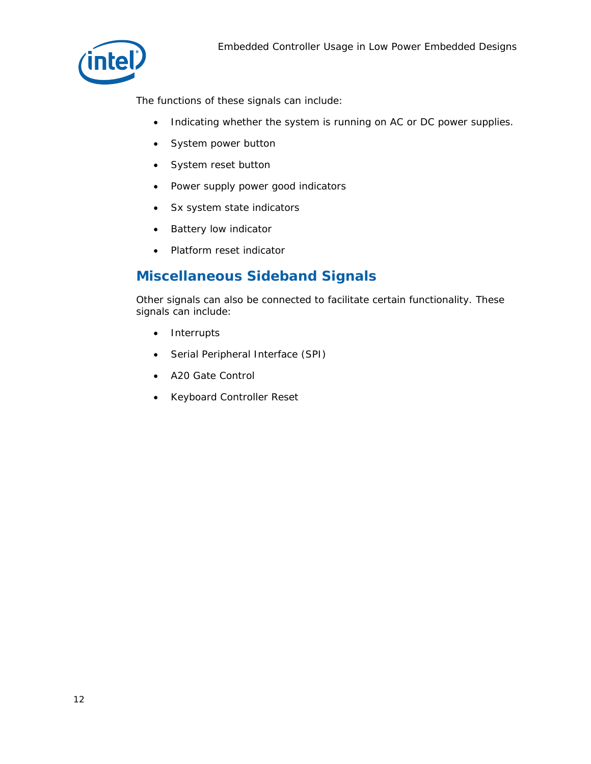

The functions of these signals can include:

- Indicating whether the system is running on AC or DC power supplies.
- System power button
- System reset button
- Power supply power good indicators
- Sx system state indicators
- Battery low indicator
- Platform reset indicator

### **Miscellaneous Sideband Signals**

Other signals can also be connected to facilitate certain functionality. These signals can include:

- Interrupts
- Serial Peripheral Interface (SPI)
- A20 Gate Control
- Keyboard Controller Reset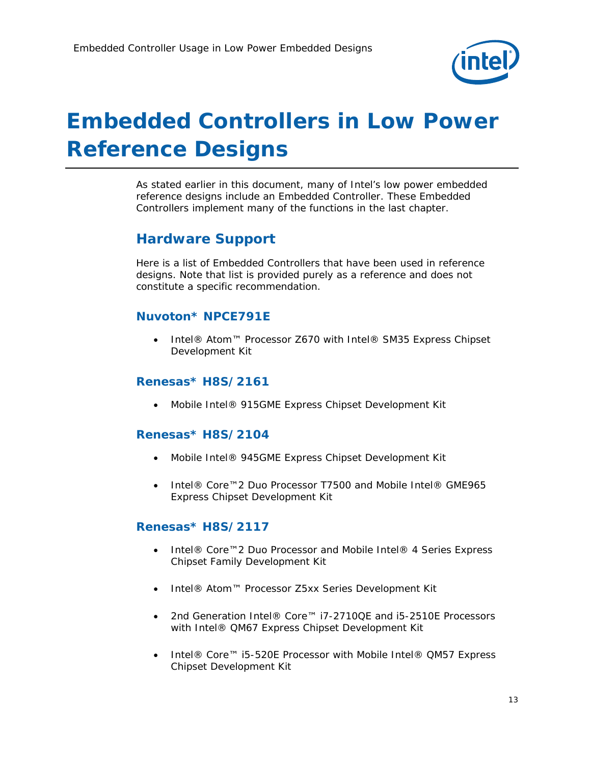

# *Embedded Controllers in Low Power Reference Designs*

As stated earlier in this document, many of Intel's low power embedded reference designs include an Embedded Controller. These Embedded Controllers implement many of the functions in the last chapter.

### **Hardware Support**

Here is a list of Embedded Controllers that have been used in reference designs. Note that list is provided purely as a reference and does not constitute a specific recommendation.

### **Nuvoton\* NPCE791E**

 Intel® Atom™ Processor Z670 with Intel® SM35 Express Chipset Development Kit

### **Renesas\* H8S/2161**

Mobile Intel® 915GME Express Chipset Development Kit

### **Renesas\* H8S/2104**

- Mobile Intel® 945GME Express Chipset Development Kit
- Intel® Core™2 Duo Processor T7500 and Mobile Intel® GME965 Express Chipset Development Kit

#### **Renesas\* H8S/2117**

- Intel® Core™2 Duo Processor and Mobile Intel® 4 Series Express Chipset Family Development Kit
- Intel® Atom™ Processor Z5xx Series Development Kit
- 2nd Generation Intel® Core™ i7-2710QE and i5-2510E Processors with Intel® QM67 Express Chipset Development Kit
- Intel® Core™ i5-520E Processor with Mobile Intel® QM57 Express Chipset Development Kit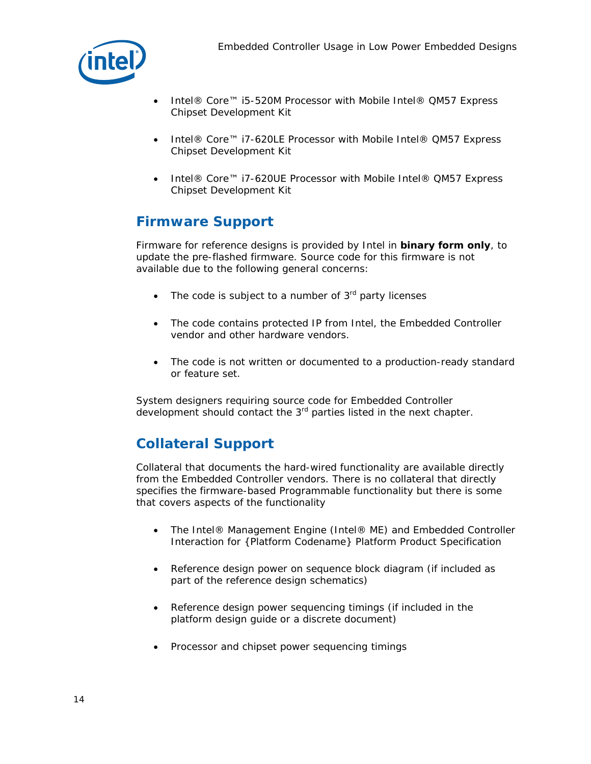

- Intel® Core™ i5-520M Processor with Mobile Intel® QM57 Express Chipset Development Kit
- Intel® Core™ i7-620LE Processor with Mobile Intel® QM57 Express Chipset Development Kit
- Intel® Core™ i7-620UE Processor with Mobile Intel® QM57 Express Chipset Development Kit

# **Firmware Support**

Firmware for reference designs is provided by Intel in **binary form only**, to update the pre-flashed firmware. Source code for this firmware is not available due to the following general concerns:

- The code is subject to a number of  $3<sup>rd</sup>$  party licenses
- The code contains protected IP from Intel, the Embedded Controller vendor and other hardware vendors.
- The code is not written or documented to a production-ready standard or feature set.

System designers requiring source code for Embedded Controller development should contact the 3<sup>rd</sup> parties listed in the next chapter.

### **Collateral Support**

Collateral that documents the hard-wired functionality are available directly from the Embedded Controller vendors. There is no collateral that directly specifies the firmware-based Programmable functionality but there is some that covers aspects of the functionality

- The Intel® Management Engine (Intel® ME) and Embedded Controller Interaction for {Platform Codename} Platform Product Specification
- Reference design power on sequence block diagram (if included as part of the reference design schematics)
- Reference design power sequencing timings (if included in the platform design guide or a discrete document)
- Processor and chipset power sequencing timings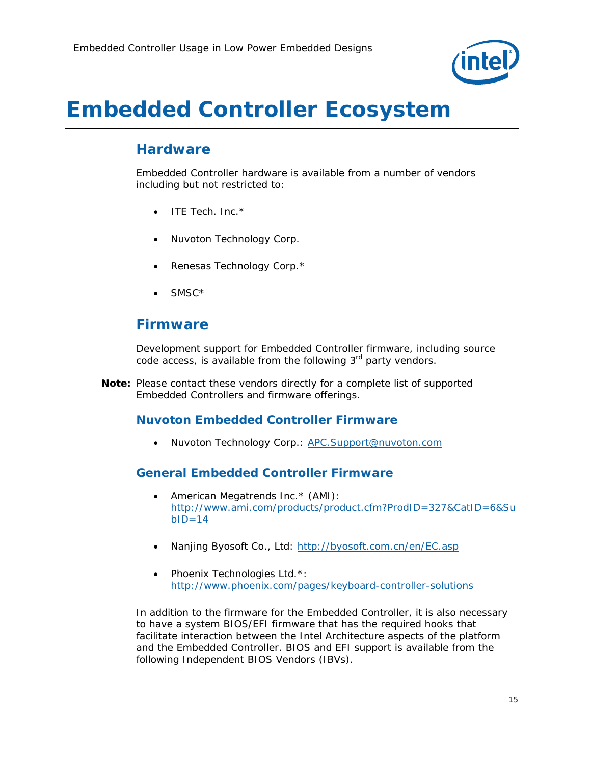

# *Embedded Controller Ecosystem*

### **Hardware**

Embedded Controller hardware is available from a number of vendors including but not restricted to:

- $\bullet$  ITE Tech. Inc.  $*$
- Nuvoton Technology Corp.
- Renesas Technology Corp.\*
- SMSC\*

### **Firmware**

Development support for Embedded Controller firmware, including source code access, is available from the following  $3<sup>rd</sup>$  party vendors.

*Note:* Please contact these vendors directly for a complete list of supported Embedded Controllers and firmware offerings.

### **Nuvoton Embedded Controller Firmware**

• Nuvoton Technology Corp.: APC.Support@nuvoton.com

### **General Embedded Controller Firmware**

- American Megatrends Inc. \* (AMI): http://www.ami.com/products/product.cfm?ProdID=327&CatID=6&Su  $bID=14$
- Nanjing Byosoft Co., Ltd: http://byosoft.com.cn/en/EC.asp
- Phoenix Technologies Ltd.\*: http://www.phoenix.com/pages/keyboard-controller-solutions

In addition to the firmware for the Embedded Controller, it is also necessary to have a system BIOS/EFI firmware that has the required hooks that facilitate interaction between the Intel Architecture aspects of the platform and the Embedded Controller. BIOS and EFI support is available from the following Independent BIOS Vendors (IBVs).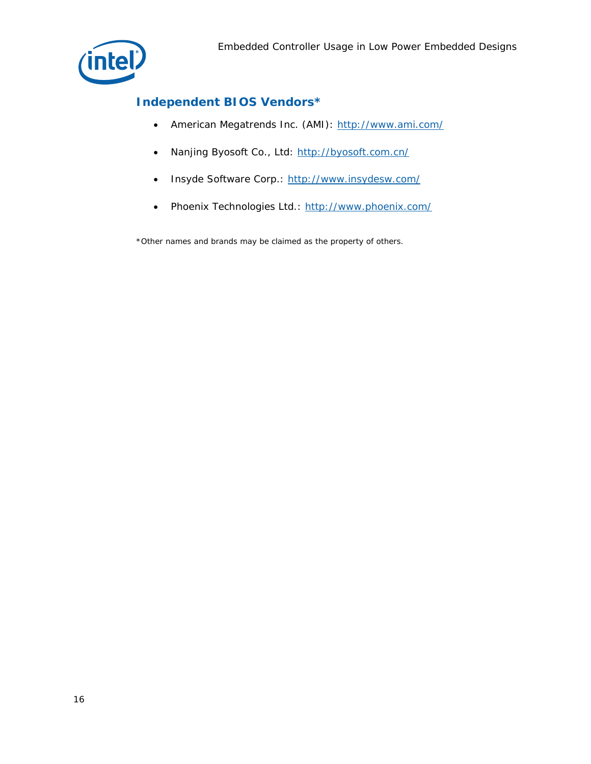

### **Independent BIOS Vendors\***

- American Megatrends Inc. (AMI): http://www.ami.com/
- Nanjing Byosoft Co., Ltd: http://byosoft.com.cn/
- Insyde Software Corp.: http://www.insydesw.com/
- Phoenix Technologies Ltd.: http://www.phoenix.com/

\*Other names and brands may be claimed as the property of others.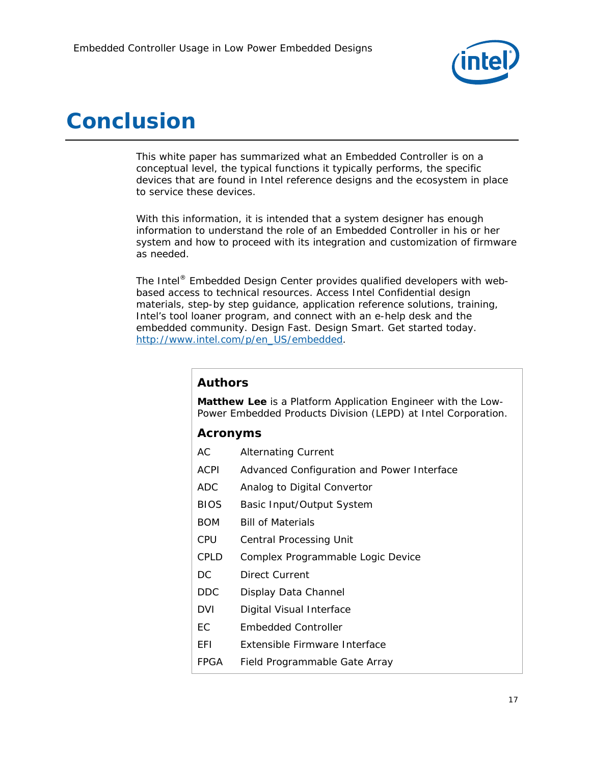

# *Conclusion*

This white paper has summarized what an Embedded Controller is on a conceptual level, the typical functions it typically performs, the specific devices that are found in Intel reference designs and the ecosystem in place to service these devices.

With this information, it is intended that a system designer has enough information to understand the role of an Embedded Controller in his or her system and how to proceed with its integration and customization of firmware as needed.

The Intel® Embedded Design Center provides qualified developers with webbased access to technical resources. Access Intel Confidential design materials, step-by step guidance, application reference solutions, training, Intel's tool loaner program, and connect with an e-help desk and the embedded community. Design Fast. Design Smart. Get started today. http://www.intel.com/p/en\_US/embedded.

### **Authors**

**Matthew Lee** is a Platform Application Engineer with the Low-Power Embedded Products Division (LEPD) at Intel Corporation.

### **Acronyms**

| АC   | <b>Alternating Current</b>                 |
|------|--------------------------------------------|
| ACPI | Advanced Configuration and Power Interface |
| ADC  | Analog to Digital Convertor                |
| BIOS | Basic Input/Output System                  |
| BOM  | <b>Bill of Materials</b>                   |
| CPU  | Central Processing Unit                    |
| CPLD | Complex Programmable Logic Device          |
| DC   | <b>Direct Current</b>                      |
| DDC  | Display Data Channel                       |
| DVI  | Digital Visual Interface                   |
| EС   | Embedded Controller                        |
| EFI  | Extensible Firmware Interface              |
| FPGA | Field Programmable Gate Array              |
|      |                                            |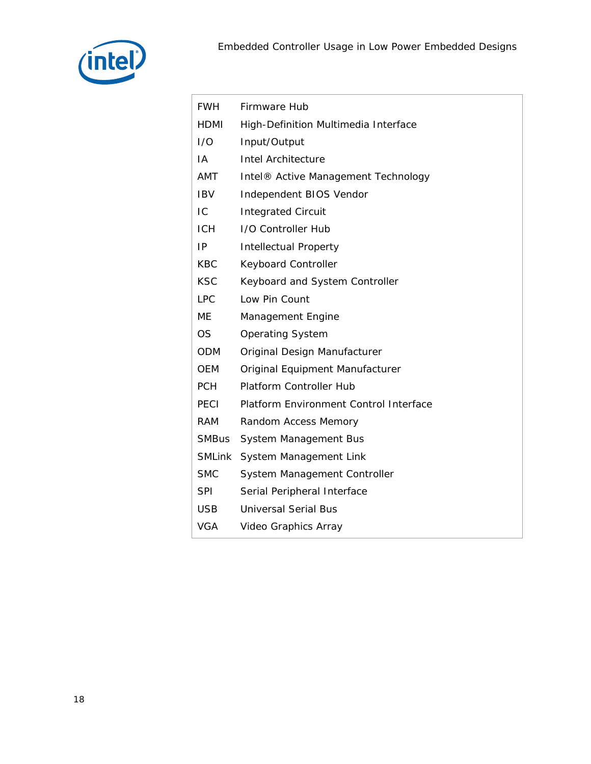

| <b>FWH</b>   | Firmware Hub                                    |
|--------------|-------------------------------------------------|
| HDMI         | High-Definition Multimedia Interface            |
| 1/O          | Input/Output                                    |
| IA           | <b>Intel Architecture</b>                       |
| AMT          | Intel <sup>®</sup> Active Management Technology |
| <b>IBV</b>   | Independent BIOS Vendor                         |
| IC           | <b>Integrated Circuit</b>                       |
| <b>ICH</b>   | I/O Controller Hub                              |
| IP           | <b>Intellectual Property</b>                    |
| <b>KBC</b>   | Keyboard Controller                             |
| <b>KSC</b>   | Keyboard and System Controller                  |
| <b>LPC</b>   | Low Pin Count                                   |
| ME           | Management Engine                               |
| <b>OS</b>    | <b>Operating System</b>                         |
| <b>ODM</b>   | Original Design Manufacturer                    |
| <b>OEM</b>   | Original Equipment Manufacturer                 |
| <b>PCH</b>   | Platform Controller Hub                         |
| PECI         | Platform Environment Control Interface          |
| <b>RAM</b>   | Random Access Memory                            |
| <b>SMBus</b> | System Management Bus                           |
| SMLink       | System Management Link                          |
| <b>SMC</b>   | System Management Controller                    |
| <b>SPI</b>   | Serial Peripheral Interface                     |
| <b>USB</b>   | <b>Universal Serial Bus</b>                     |
| <b>VGA</b>   | Video Graphics Array                            |